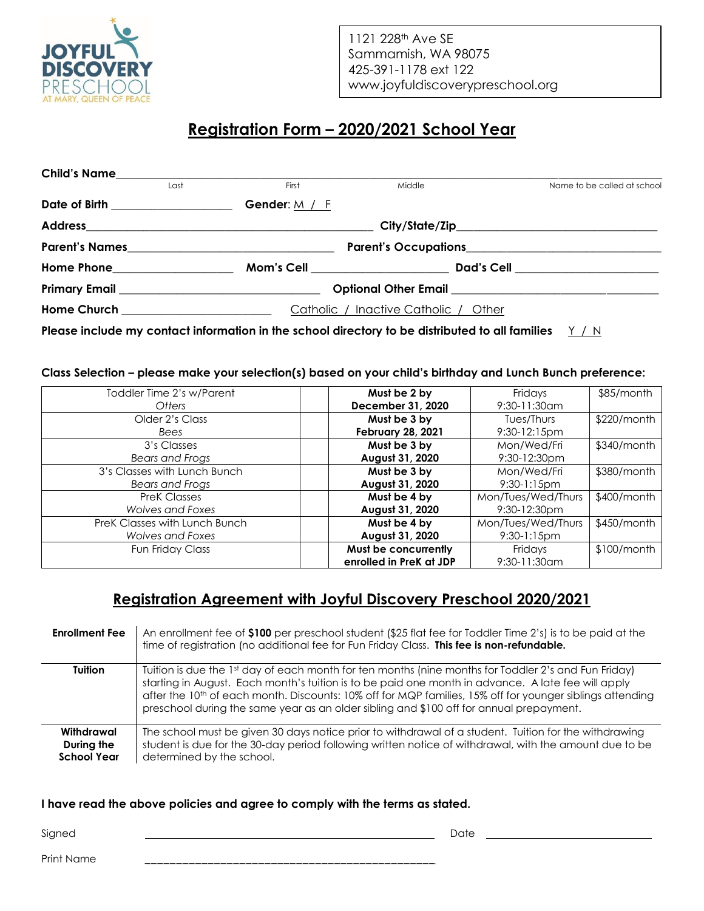

1121 228<sup>th</sup> Ave SE Sammamish, WA 98075 425-391-1178 ext 122 www.joyfuldiscoverypreschool.org

 $\overline{a}$ 

## **Registration Form – 2020/2021 School Year**

| <b>Child's Name</b>               |      |                                                                                                                                                      |        |  |                             |
|-----------------------------------|------|------------------------------------------------------------------------------------------------------------------------------------------------------|--------|--|-----------------------------|
|                                   | Last | First                                                                                                                                                | Middle |  | Name to be called at school |
| Date of Birth __________________  |      | Gender: $M / F$                                                                                                                                      |        |  |                             |
|                                   |      |                                                                                                                                                      |        |  |                             |
| <b>Parent's Names</b>             |      | <b>Parent's Occupations</b><br><u> 1989 - Johann Harry Barn, mars ar breist fan de ferstjer fan de ferstjer fan de ferstjer fan de ferstjer fan </u> |        |  |                             |
| Home Phone_____________________   |      | Mom's Cell <b>Example 2019</b>                                                                                                                       |        |  |                             |
|                                   |      | Optional Other Email <b>Executive Structure Control</b>                                                                                              |        |  |                             |
| Home Church _____________________ |      | Catholic / Inactive Catholic / Other                                                                                                                 |        |  |                             |
|                                   |      |                                                                                                                                                      |        |  |                             |

**Please include my contact information in the school directory to be distributed to all families** Y / N

#### **Class Selection – please make your selection(s) based on your child's birthday and Lunch Bunch preference:**

| Toddler Time 2's w/Parent     | Must be 2 by             | Fridays            | $$85/m$ onth  |
|-------------------------------|--------------------------|--------------------|---------------|
| Otters                        | December 31, 2020        | 9:30-11:30am       |               |
| Older 2's Class               | Must be 3 by             | Tues/Thurs         | $$220/m$ onth |
| Bees                          | <b>February 28, 2021</b> | $9:30-12:15$ pm    |               |
| 3's Classes                   | Must be 3 by             | Mon/Wed/Fri        | \$340/month   |
| Bears and Frogs               | August 31, 2020          | $9:30-12:30$ pm    |               |
| 3's Classes with Lunch Bunch  | Must be 3 by             | Mon/Wed/Fri        | \$380/month   |
| Bears and Frogs               | August 31, 2020          | $9:30-1:15$ pm     |               |
| <b>PreK Classes</b>           | Must be 4 by             | Mon/Tues/Wed/Thurs | $$400/m$ onth |
| Wolves and Foxes              | August 31, 2020          | $9:30-12:30$ pm    |               |
| PreK Classes with Lunch Bunch | Must be 4 by             | Mon/Tues/Wed/Thurs | \$450/month   |
| Wolves and Foxes              | August 31, 2020          | $9:30-1:15$ pm     |               |
| Fun Friday Class              | Must be concurrently     | Fridays            | $$100/m$ onth |
|                               | enrolled in PreK at JDP  | $9:30 - 11:30$ am  |               |

## **Registration Agreement with Joyful Discovery Preschool 2020/2021**

| <b>Enrollment Fee</b>                          | An enrollment fee of \$100 per preschool student (\$25 flat fee for Toddler Time 2's) is to be paid at the<br>time of registration (no additional fee for Fun Friday Class. This fee is non-refundable.                                                                                                                                                                                                                        |
|------------------------------------------------|--------------------------------------------------------------------------------------------------------------------------------------------------------------------------------------------------------------------------------------------------------------------------------------------------------------------------------------------------------------------------------------------------------------------------------|
| <b>Tuition</b>                                 | Tuition is due the 1st day of each month for ten months (nine months for Toddler 2's and Fun Friday)<br>starting in August. Each month's tuition is to be paid one month in advance. A late fee will apply<br>after the 10 <sup>th</sup> of each month. Discounts: 10% off for MQP families, 15% off for younger siblings attending<br>preschool during the same year as an older sibling and \$100 off for annual prepayment. |
| Withdrawal<br>During the<br><b>School Year</b> | The school must be given 30 days notice prior to withdrawal of a student. Tuition for the withdrawing<br>student is due for the 30-day period following written notice of withdrawal, with the amount due to be<br>determined by the school.                                                                                                                                                                                   |

#### **I have read the above policies and agree to comply with the terms as stated.**

Signed Date

Print Name \_\_\_\_\_\_\_\_\_\_\_\_\_\_\_\_\_\_\_\_\_\_\_\_\_\_\_\_\_\_\_\_\_\_\_\_\_\_\_\_\_\_\_\_\_\_